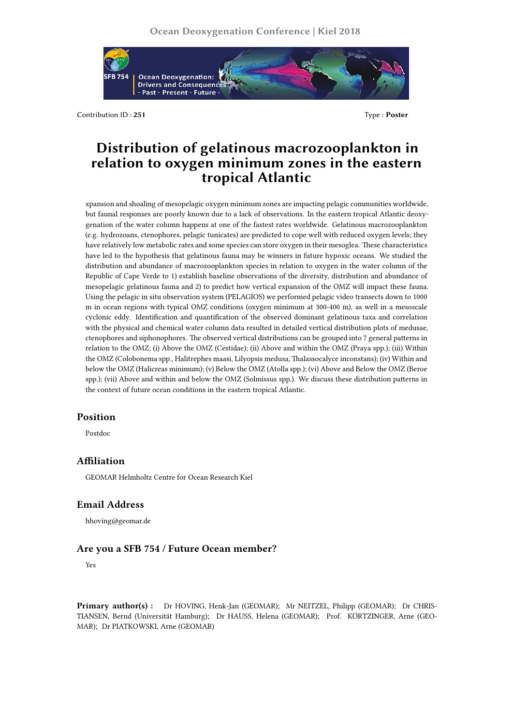

Contribution ID : **251** Type : **Poster**

# **Distribution of gelatinous macrozooplankton in relation to oxygen minimum zones in the eastern tropical Atlantic**

xpansion and shoaling of mesopelagic oxygen minimum zones are impacting pelagic communities worldwide, but faunal responses are poorly known due to a lack of observations. In the eastern tropical Atlantic deoxygenation of the water column happens at one of the fastest rates worldwide. Gelatinous macrozooplankton (e.g. hydrozoans, ctenophores, pelagic tunicates) are predicted to cope well with reduced oxygen levels; they have relatively low metabolic rates and some species can store oxygen in their mesoglea. These characteristics have led to the hypothesis that gelatinous fauna may be winners in future hypoxic oceans. We studied the distribution and abundance of macrozooplankton species in relation to oxygen in the water column of the Republic of Cape Verde to 1) establish baseline observations of the diversity, distribution and abundance of mesopelagic gelatinous fauna and 2) to predict how vertical expansion of the OMZ will impact these fauna. Using the pelagic in situ observation system (PELAGIOS) we performed pelagic video transects down to 1000 m in ocean regions with typical OMZ conditions (oxygen minimum at 300-400 m), as well in a mesoscale cyclonic eddy. Identification and quantification of the observed dominant gelatinous taxa and correlation with the physical and chemical water column data resulted in detailed vertical distribution plots of medusae, ctenophores and siphonophores. The observed vertical distributions can be grouped into 7 general patterns in relation to the OMZ; (i) Above the OMZ (Cestidae); (ii) Above and within the OMZ (Praya spp.); (iii) Within the OMZ (Colobonema spp., Halitrephes maasi, Lilyopsis medusa, Thalassocalyce inconstans); (iv) Within and below the OMZ (Halicreas minimum); (v) Below the OMZ (Atolla spp.); (vi) Above and Below the OMZ (Beroe spp.); (vii) Above and within and below the OMZ (Solmissus spp.). We discuss these distribution patterns in the context of future ocean conditions in the eastern tropical Atlantic.

#### **Position**

Postdoc

## **Affiliation**

GEOMAR Helmholtz Centre for Ocean Research Kiel

## **Email Address**

hhoving@geomar.de

#### **Are you a SFB 754 / Future Ocean member?**

Yes

**Primary author(s) :** Dr HOVING, Henk-Jan (GEOMAR); Mr NEITZEL, Philipp (GEOMAR); Dr CHRIS-TIANSEN, Bernd (Universität Hamburg); Dr HAUSS, Helena (GEOMAR); Prof. KÖRTZINGER, Arne (GEO-MAR); Dr PIATKOWSKI, Arne (GEOMAR)